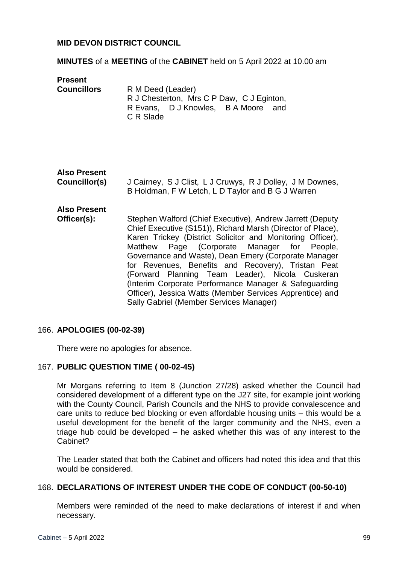### **MID DEVON DISTRICT COUNCIL**

#### **MINUTES** of a **MEETING** of the **CABINET** held on 5 April 2022 at 10.00 am

**Present** 

| <b>Councillors</b> | R M Deed (Leader)                         |
|--------------------|-------------------------------------------|
|                    | R J Chesterton, Mrs C P Daw, C J Eginton, |
|                    | R Evans, D J Knowles, B A Moore and       |
|                    | C R Slade                                 |

## **Also Present**

**Councillor(s)** J Cairney, S J Clist, L J Cruwys, R J Dolley, J M Downes, B Holdman, F W Letch, L D Taylor and B G J Warren

# **Also Present**

**Officer(s):** Stephen Walford (Chief Executive), Andrew Jarrett (Deputy Chief Executive (S151)), Richard Marsh (Director of Place), Karen Trickey (District Solicitor and Monitoring Officer), Matthew Page (Corporate Manager for People, Governance and Waste), Dean Emery (Corporate Manager for Revenues, Benefits and Recovery), Tristan Peat (Forward Planning Team Leader), Nicola Cuskeran (Interim Corporate Performance Manager & Safeguarding Officer), Jessica Watts (Member Services Apprentice) and Sally Gabriel (Member Services Manager)

### 166. **APOLOGIES (00-02-39)**

There were no apologies for absence.

### 167. **PUBLIC QUESTION TIME ( 00-02-45)**

Mr Morgans referring to Item 8 (Junction 27/28) asked whether the Council had considered development of a different type on the J27 site, for example joint working with the County Council, Parish Councils and the NHS to provide convalescence and care units to reduce bed blocking or even affordable housing units – this would be a useful development for the benefit of the larger community and the NHS, even a triage hub could be developed – he asked whether this was of any interest to the Cabinet?

The Leader stated that both the Cabinet and officers had noted this idea and that this would be considered.

### 168. **DECLARATIONS OF INTEREST UNDER THE CODE OF CONDUCT (00-50-10)**

Members were reminded of the need to make declarations of interest if and when necessary.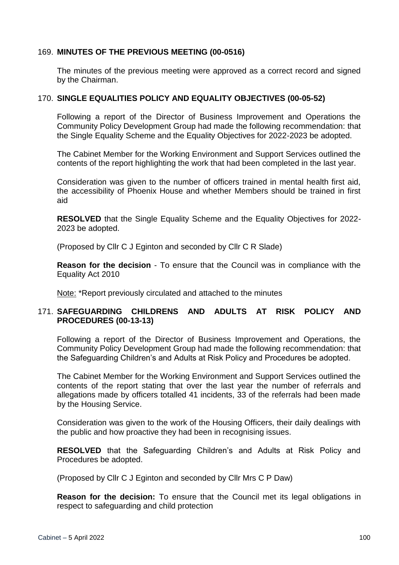### 169. **MINUTES OF THE PREVIOUS MEETING (00-0516)**

The minutes of the previous meeting were approved as a correct record and signed by the Chairman.

### 170. **SINGLE EQUALITIES POLICY AND EQUALITY OBJECTIVES (00-05-52)**

Following a report of the Director of Business Improvement and Operations the Community Policy Development Group had made the following recommendation: that the Single Equality Scheme and the Equality Objectives for 2022-2023 be adopted.

The Cabinet Member for the Working Environment and Support Services outlined the contents of the report highlighting the work that had been completed in the last year.

Consideration was given to the number of officers trained in mental health first aid, the accessibility of Phoenix House and whether Members should be trained in first aid

**RESOLVED** that the Single Equality Scheme and the Equality Objectives for 2022- 2023 be adopted.

(Proposed by Cllr C J Eginton and seconded by Cllr C R Slade)

**Reason for the decision** - To ensure that the Council was in compliance with the Equality Act 2010

Note: \*Report previously circulated and attached to the minutes

### 171. **SAFEGUARDING CHILDRENS AND ADULTS AT RISK POLICY AND PROCEDURES (00-13-13)**

Following a report of the Director of Business Improvement and Operations, the Community Policy Development Group had made the following recommendation: that the Safeguarding Children's and Adults at Risk Policy and Procedures be adopted.

The Cabinet Member for the Working Environment and Support Services outlined the contents of the report stating that over the last year the number of referrals and allegations made by officers totalled 41 incidents, 33 of the referrals had been made by the Housing Service.

Consideration was given to the work of the Housing Officers, their daily dealings with the public and how proactive they had been in recognising issues.

**RESOLVED** that the Safeguarding Children's and Adults at Risk Policy and Procedures be adopted.

(Proposed by Cllr C J Eginton and seconded by Cllr Mrs C P Daw)

**Reason for the decision:** To ensure that the Council met its legal obligations in respect to safeguarding and child protection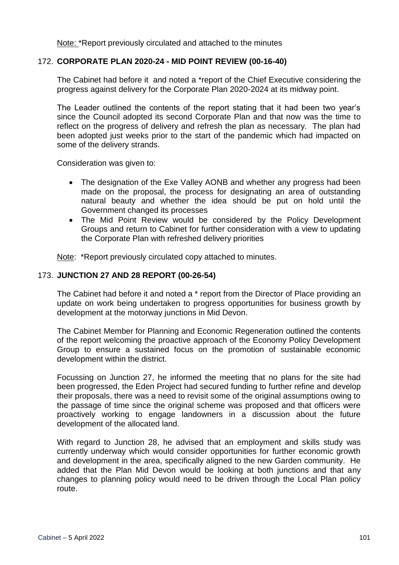Note: \*Report previously circulated and attached to the minutes

### 172. **CORPORATE PLAN 2020-24 - MID POINT REVIEW (00-16-40)**

The Cabinet had before it and noted a \*report of the Chief Executive considering the progress against delivery for the Corporate Plan 2020-2024 at its midway point.

The Leader outlined the contents of the report stating that it had been two year's since the Council adopted its second Corporate Plan and that now was the time to reflect on the progress of delivery and refresh the plan as necessary. The plan had been adopted just weeks prior to the start of the pandemic which had impacted on some of the delivery strands.

Consideration was given to:

- The designation of the Exe Valley AONB and whether any progress had been made on the proposal, the process for designating an area of outstanding natural beauty and whether the idea should be put on hold until the Government changed its processes
- The Mid Point Review would be considered by the Policy Development Groups and return to Cabinet for further consideration with a view to updating the Corporate Plan with refreshed delivery priorities

Note: \*Report previously circulated copy attached to minutes.

### 173. **JUNCTION 27 AND 28 REPORT (00-26-54)**

The Cabinet had before it and noted a \* report from the Director of Place providing an update on work being undertaken to progress opportunities for business growth by development at the motorway junctions in Mid Devon.

The Cabinet Member for Planning and Economic Regeneration outlined the contents of the report welcoming the proactive approach of the Economy Policy Development Group to ensure a sustained focus on the promotion of sustainable economic development within the district.

Focussing on Junction 27, he informed the meeting that no plans for the site had been progressed, the Eden Project had secured funding to further refine and develop their proposals, there was a need to revisit some of the original assumptions owing to the passage of time since the original scheme was proposed and that officers were proactively working to engage landowners in a discussion about the future development of the allocated land.

With regard to Junction 28, he advised that an employment and skills study was currently underway which would consider opportunities for further economic growth and development in the area, specifically aligned to the new Garden community. He added that the Plan Mid Devon would be looking at both junctions and that any changes to planning policy would need to be driven through the Local Plan policy route.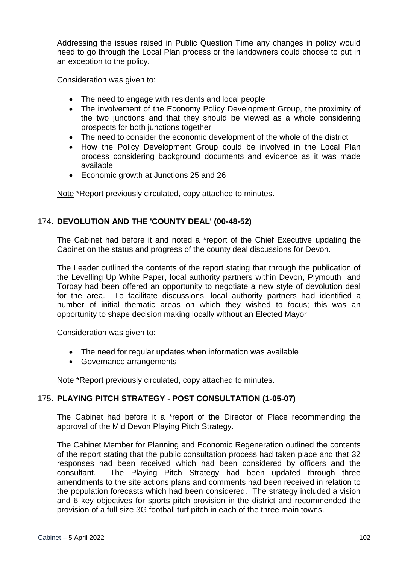Addressing the issues raised in Public Question Time any changes in policy would need to go through the Local Plan process or the landowners could choose to put in an exception to the policy.

Consideration was given to:

- The need to engage with residents and local people
- The involvement of the Economy Policy Development Group, the proximity of the two junctions and that they should be viewed as a whole considering prospects for both junctions together
- The need to consider the economic development of the whole of the district
- How the Policy Development Group could be involved in the Local Plan process considering background documents and evidence as it was made available
- Economic growth at Junctions 25 and 26

Note \*Report previously circulated, copy attached to minutes.

### 174. **DEVOLUTION AND THE 'COUNTY DEAL' (00-48-52)**

The Cabinet had before it and noted a \*report of the Chief Executive updating the Cabinet on the status and progress of the county deal discussions for Devon.

The Leader outlined the contents of the report stating that through the publication of the Levelling Up White Paper, local authority partners within Devon, Plymouth and Torbay had been offered an opportunity to negotiate a new style of devolution deal for the area. To facilitate discussions, local authority partners had identified a number of initial thematic areas on which they wished to focus; this was an opportunity to shape decision making locally without an Elected Mayor

Consideration was given to:

- The need for regular updates when information was available
- Governance arrangements

Note \*Report previously circulated, copy attached to minutes.

### 175. **PLAYING PITCH STRATEGY - POST CONSULTATION (1-05-07)**

The Cabinet had before it a \*report of the Director of Place recommending the approval of the Mid Devon Playing Pitch Strategy.

The Cabinet Member for Planning and Economic Regeneration outlined the contents of the report stating that the public consultation process had taken place and that 32 responses had been received which had been considered by officers and the consultant. The Playing Pitch Strategy had been updated through three amendments to the site actions plans and comments had been received in relation to the population forecasts which had been considered. The strategy included a vision and 6 key objectives for sports pitch provision in the district and recommended the provision of a full size 3G football turf pitch in each of the three main towns.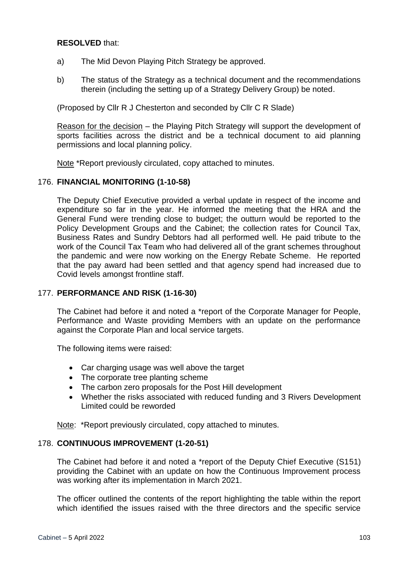### **RESOLVED** that:

- a) The Mid Devon Playing Pitch Strategy be approved.
- b) The status of the Strategy as a technical document and the recommendations therein (including the setting up of a Strategy Delivery Group) be noted.

(Proposed by Cllr R J Chesterton and seconded by Cllr C R Slade)

Reason for the decision – the Playing Pitch Strategy will support the development of sports facilities across the district and be a technical document to aid planning permissions and local planning policy.

Note \*Report previously circulated, copy attached to minutes.

### 176. **FINANCIAL MONITORING (1-10-58)**

The Deputy Chief Executive provided a verbal update in respect of the income and expenditure so far in the year. He informed the meeting that the HRA and the General Fund were trending close to budget; the outturn would be reported to the Policy Development Groups and the Cabinet; the collection rates for Council Tax, Business Rates and Sundry Debtors had all performed well. He paid tribute to the work of the Council Tax Team who had delivered all of the grant schemes throughout the pandemic and were now working on the Energy Rebate Scheme. He reported that the pay award had been settled and that agency spend had increased due to Covid levels amongst frontline staff.

### 177. **PERFORMANCE AND RISK (1-16-30)**

The Cabinet had before it and noted a \*report of the Corporate Manager for People, Performance and Waste providing Members with an update on the performance against the Corporate Plan and local service targets.

The following items were raised:

- Car charging usage was well above the target
- The corporate tree planting scheme
- The carbon zero proposals for the Post Hill development
- Whether the risks associated with reduced funding and 3 Rivers Development Limited could be reworded

Note: \*Report previously circulated, copy attached to minutes.

### 178. **CONTINUOUS IMPROVEMENT (1-20-51)**

The Cabinet had before it and noted a \*report of the Deputy Chief Executive (S151) providing the Cabinet with an update on how the Continuous Improvement process was working after its implementation in March 2021.

The officer outlined the contents of the report highlighting the table within the report which identified the issues raised with the three directors and the specific service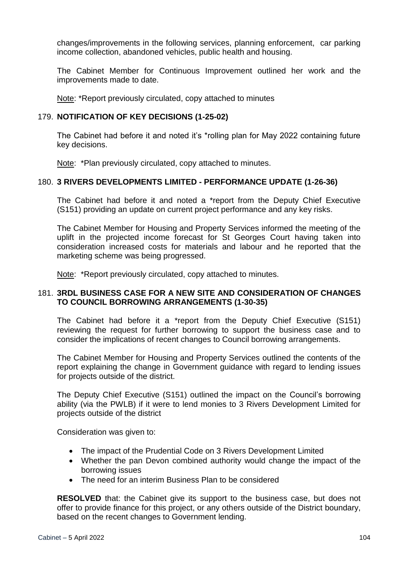changes/improvements in the following services, planning enforcement, car parking income collection, abandoned vehicles, public health and housing.

The Cabinet Member for Continuous Improvement outlined her work and the improvements made to date.

Note: \*Report previously circulated, copy attached to minutes

### 179. **NOTIFICATION OF KEY DECISIONS (1-25-02)**

The Cabinet had before it and noted it's \*rolling plan for May 2022 containing future key decisions.

Note: \*Plan previously circulated, copy attached to minutes.

### 180. **3 RIVERS DEVELOPMENTS LIMITED - PERFORMANCE UPDATE (1-26-36)**

The Cabinet had before it and noted a \*report from the Deputy Chief Executive (S151) providing an update on current project performance and any key risks.

The Cabinet Member for Housing and Property Services informed the meeting of the uplift in the projected income forecast for St Georges Court having taken into consideration increased costs for materials and labour and he reported that the marketing scheme was being progressed.

Note: \*Report previously circulated, copy attached to minutes.

#### 181. **3RDL BUSINESS CASE FOR A NEW SITE AND CONSIDERATION OF CHANGES TO COUNCIL BORROWING ARRANGEMENTS (1-30-35)**

The Cabinet had before it a \*report from the Deputy Chief Executive (S151) reviewing the request for further borrowing to support the business case and to consider the implications of recent changes to Council borrowing arrangements.

The Cabinet Member for Housing and Property Services outlined the contents of the report explaining the change in Government guidance with regard to lending issues for projects outside of the district.

The Deputy Chief Executive (S151) outlined the impact on the Council's borrowing ability (via the PWLB) if it were to lend monies to 3 Rivers Development Limited for projects outside of the district

Consideration was given to:

- The impact of the Prudential Code on 3 Rivers Development Limited
- Whether the pan Devon combined authority would change the impact of the borrowing issues
- The need for an interim Business Plan to be considered

**RESOLVED** that: the Cabinet give its support to the business case, but does not offer to provide finance for this project, or any others outside of the District boundary, based on the recent changes to Government lending.